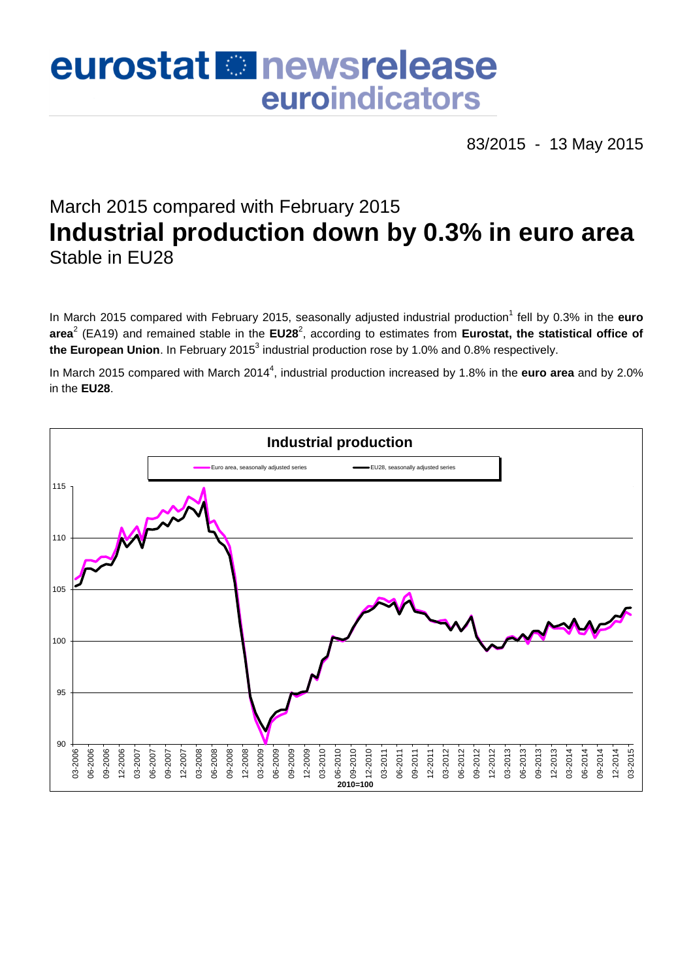# eurostat **Et newsrelease** euroindicators

83/2015 - 13 May 2015

## March 2015 compared with February 2015 **Industrial production down by 0.3% in euro area** Stable in EU28

In March 2015 compared with February 2015, seasonally adjusted industrial production<sup>1</sup> fell by 0.3% in the **euro** area<sup>2</sup> (EA19) and remained stable in the EU28<sup>2</sup>, according to estimates from Eurostat, the statistical office of **the European Union**. In February 2015<sup>3</sup> industrial production rose by 1.0% and 0.8% respectively.

In March 2015 compared with March 2014<sup>4</sup>, industrial production increased by 1.8% in the **euro area** and by 2.0% in the **EU28**.

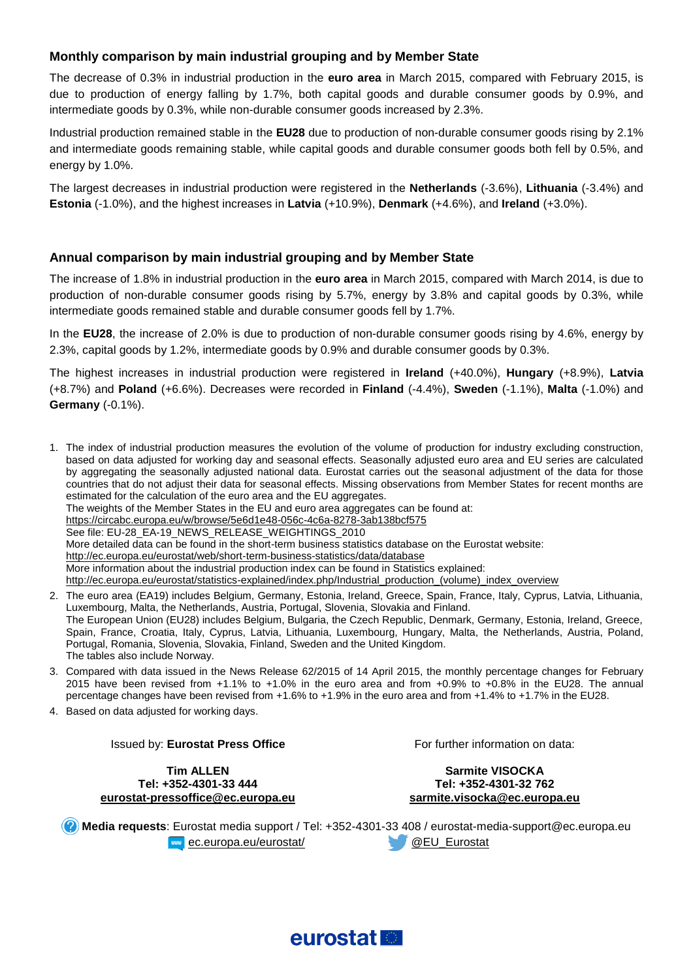#### **Monthly comparison by main industrial grouping and by Member State**

The decrease of 0.3% in industrial production in the **euro area** in March 2015, compared with February 2015, is due to production of energy falling by 1.7%, both capital goods and durable consumer goods by 0.9%, and intermediate goods by 0.3%, while non-durable consumer goods increased by 2.3%.

Industrial production remained stable in the **EU28** due to production of non-durable consumer goods rising by 2.1% and intermediate goods remaining stable, while capital goods and durable consumer goods both fell by 0.5%, and energy by 1.0%.

The largest decreases in industrial production were registered in the **Netherlands** (-3.6%), **Lithuania** (-3.4%) and **Estonia** (-1.0%), and the highest increases in **Latvia** (+10.9%), **Denmark** (+4.6%), and **Ireland** (+3.0%).

#### **Annual comparison by main industrial grouping and by Member State**

The increase of 1.8% in industrial production in the **euro area** in March 2015, compared with March 2014, is due to production of non-durable consumer goods rising by 5.7%, energy by 3.8% and capital goods by 0.3%, while intermediate goods remained stable and durable consumer goods fell by 1.7%.

In the **EU28**, the increase of 2.0% is due to production of non-durable consumer goods rising by 4.6%, energy by 2.3%, capital goods by 1.2%, intermediate goods by 0.9% and durable consumer goods by 0.3%.

The highest increases in industrial production were registered in **Ireland** (+40.0%), **Hungary** (+8.9%), **Latvia** (+8.7%) and **Poland** (+6.6%). Decreases were recorded in **Finland** (-4.4%), **Sweden** (-1.1%), **Malta** (-1.0%) and **Germany** (-0.1%).

1. The index of industrial production measures the evolution of the volume of production for industry excluding construction, based on data adjusted for working day and seasonal effects. Seasonally adjusted euro area and EU series are calculated by aggregating the seasonally adjusted national data. Eurostat carries out the seasonal adjustment of the data for those countries that do not adjust their data for seasonal effects. Missing observations from Member States for recent months are estimated for the calculation of the euro area and the EU aggregates. The weights of the Member States in the EU and euro area aggregates can be found at: <https://circabc.europa.eu/w/browse/5e6d1e48-056c-4c6a-8278-3ab138bcf575> See file: EU-28\_EA-19\_NEWS\_RELEASE\_WEIGHTINGS\_2010 More detailed data can be found in the short-term business statistics database on the Eurostat website: <http://ec.europa.eu/eurostat/web/short-term-business-statistics/data/database> More information about the industrial production index can be found in Statistics explained: [http://ec.europa.eu/eurostat/statistics-explained/index.php/Industrial\\_production\\_\(volume\)\\_index\\_overview](http://ec.europa.eu/eurostat/statistics-explained/index.php/Industrial_production_(volume)_index_overview)

- 2. The euro area (EA19) includes Belgium, Germany, Estonia, Ireland, Greece, Spain, France, Italy, Cyprus, Latvia, Lithuania, Luxembourg, Malta, the Netherlands, Austria, Portugal, Slovenia, Slovakia and Finland. The European Union (EU28) includes Belgium, Bulgaria, the Czech Republic, Denmark, Germany, Estonia, Ireland, Greece, Spain, France, Croatia, Italy, Cyprus, Latvia, Lithuania, Luxembourg, Hungary, Malta, the Netherlands, Austria, Poland, Portugal, Romania, Slovenia, Slovakia, Finland, Sweden and the United Kingdom. The tables also include Norway.
- 3. Compared with data issued in the News Release 62/2015 of 14 April 2015, the monthly percentage changes for February 2015 have been revised from +1.1% to +1.0% in the euro area and from +0.9% to +0.8% in the EU28. The annual percentage changes have been revised from +1.6% to +1.9% in the euro area and from +1.4% to +1.7% in the EU28.
- 4. Based on data adjusted for working days.

Issued by: **Eurostat Press Office**

**Tim ALLEN Tel: +352-4301-33 444 [eurostat-pressoffice@ec.europa.eu](mailto:eurostat-pressoffice@ec.europa.eu)** For further information on data:

**Sarmite VISOCKA Tel: +352-4301-32 762 [sarmite.visocka@ec.europa.eu](mailto:sarmite.visocka@ec.europa.eu)**

**Media requests**: Eurostat media support / Tel: +352-4301-33 408 / eurostat-media-support@ec.europa.eu **Example 2. Europa.eu/eurostat/ WEU\_Eurostat** 

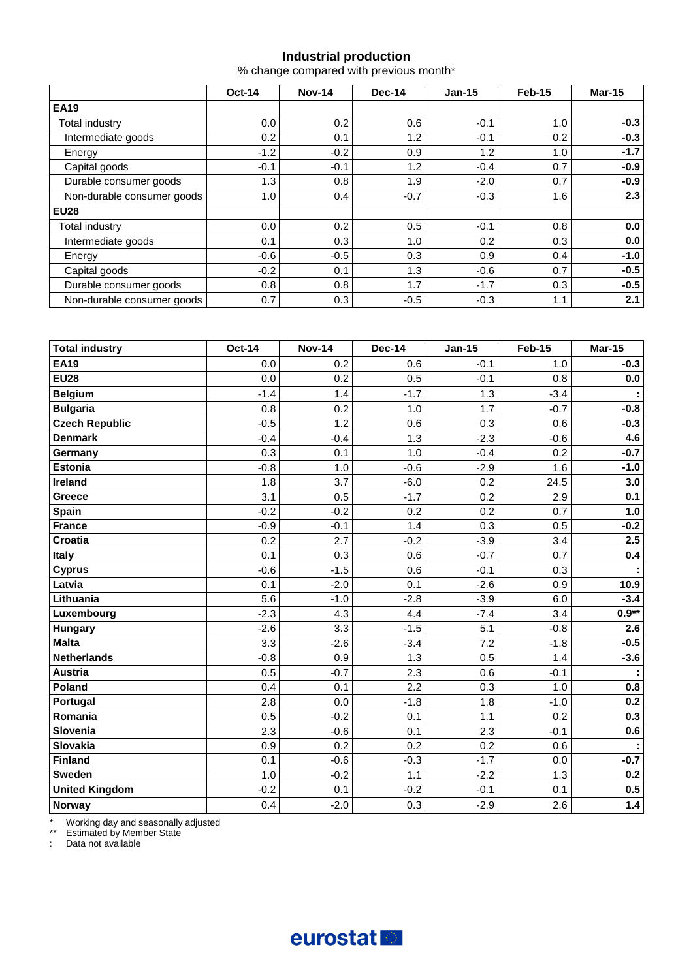#### **Industrial production**

% change compared with previous month\*

|                            | <b>Oct-14</b> | <b>Nov-14</b> | Dec-14 | $Jan-15$ | Feb-15 | <b>Mar-15</b> |
|----------------------------|---------------|---------------|--------|----------|--------|---------------|
| <b>EA19</b>                |               |               |        |          |        |               |
| Total industry             | 0.0           | 0.2           | 0.6    | $-0.1$   | 1.0    | $-0.3$        |
| Intermediate goods         | 0.2           | 0.1           | 1.2    | $-0.1$   | 0.2    | $-0.3$        |
| Energy                     | $-1.2$        | $-0.2$        | 0.9    | 1.2      | 1.0    | $-1.7$        |
| Capital goods              | $-0.1$        | $-0.1$        | 1.2    | $-0.4$   | 0.7    | $-0.9$        |
| Durable consumer goods     | 1.3           | 0.8           | 1.9    | $-2.0$   | 0.7    | $-0.9$        |
| Non-durable consumer goods | 1.0           | 0.4           | $-0.7$ | $-0.3$   | 1.6    | 2.3           |
| <b>EU28</b>                |               |               |        |          |        |               |
| Total industry             | 0.0           | 0.2           | 0.5    | $-0.1$   | 0.8    | 0.0           |
| Intermediate goods         | 0.1           | 0.3           | 1.0    | 0.2      | 0.3    | 0.0           |
| Energy                     | $-0.6$        | $-0.5$        | 0.3    | 0.9      | 0.4    | $-1.0$        |
| Capital goods              | $-0.2$        | 0.1           | 1.3    | $-0.6$   | 0.7    | $-0.5$        |
| Durable consumer goods     | 0.8           | 0.8           | 1.7    | $-1.7$   | 0.3    | $-0.5$        |
| Non-durable consumer goods | 0.7           | 0.3           | $-0.5$ | $-0.3$   | 1.1    | 2.1           |

| <b>Total industry</b> | <b>Oct-14</b> | <b>Nov-14</b> | <b>Dec-14</b> | <b>Jan-15</b> | <b>Feb-15</b> | <b>Mar-15</b> |
|-----------------------|---------------|---------------|---------------|---------------|---------------|---------------|
| <b>EA19</b>           | 0.0           | 0.2           | 0.6           | $-0.1$        | 1.0           | $-0.3$        |
| <b>EU28</b>           | 0.0           | 0.2           | 0.5           | $-0.1$        | 0.8           | 0.0           |
| <b>Belgium</b>        | $-1.4$        | 1.4           | $-1.7$        | 1.3           | $-3.4$        | ÷             |
| <b>Bulgaria</b>       | 0.8           | 0.2           | 1.0           | 1.7           | $-0.7$        | $-0.8$        |
| <b>Czech Republic</b> | $-0.5$        | 1.2           | 0.6           | 0.3           | 0.6           | $-0.3$        |
| <b>Denmark</b>        | $-0.4$        | $-0.4$        | 1.3           | $-2.3$        | $-0.6$        | 4.6           |
| Germany               | 0.3           | 0.1           | 1.0           | $-0.4$        | 0.2           | $-0.7$        |
| <b>Estonia</b>        | $-0.8$        | 1.0           | $-0.6$        | $-2.9$        | 1.6           | $-1.0$        |
| Ireland               | 1.8           | 3.7           | $-6.0$        | 0.2           | 24.5          | 3.0           |
| Greece                | 3.1           | 0.5           | $-1.7$        | 0.2           | 2.9           | 0.1           |
| Spain                 | $-0.2$        | $-0.2$        | 0.2           | 0.2           | 0.7           | 1.0           |
| <b>France</b>         | $-0.9$        | $-0.1$        | 1.4           | 0.3           | 0.5           | $-0.2$        |
| Croatia               | 0.2           | 2.7           | $-0.2$        | $-3.9$        | 3.4           | 2.5           |
| <b>Italy</b>          | 0.1           | 0.3           | 0.6           | $-0.7$        | 0.7           | 0.4           |
| <b>Cyprus</b>         | $-0.6$        | $-1.5$        | 0.6           | $-0.1$        | 0.3           |               |
| Latvia                | 0.1           | $-2.0$        | 0.1           | $-2.6$        | 0.9           | 10.9          |
| Lithuania             | 5.6           | $-1.0$        | $-2.8$        | $-3.9$        | 6.0           | $-3.4$        |
| Luxembourg            | $-2.3$        | 4.3           | 4.4           | $-7.4$        | 3.4           | $0.9**$       |
| <b>Hungary</b>        | $-2.6$        | 3.3           | $-1.5$        | 5.1           | $-0.8$        | 2.6           |
| <b>Malta</b>          | 3.3           | $-2.6$        | $-3.4$        | 7.2           | $-1.8$        | $-0.5$        |
| <b>Netherlands</b>    | $-0.8$        | 0.9           | 1.3           | 0.5           | 1.4           | $-3.6$        |
| <b>Austria</b>        | 0.5           | $-0.7$        | 2.3           | 0.6           | $-0.1$        |               |
| Poland                | 0.4           | 0.1           | 2.2           | 0.3           | 1.0           | 0.8           |
| Portugal              | 2.8           | 0.0           | $-1.8$        | 1.8           | $-1.0$        | 0.2           |
| Romania               | 0.5           | $-0.2$        | 0.1           | 1.1           | 0.2           | 0.3           |
| Slovenia              | 2.3           | $-0.6$        | 0.1           | 2.3           | $-0.1$        | 0.6           |
| Slovakia              | 0.9           | 0.2           | 0.2           | 0.2           | 0.6           | ÷,            |
| Finland               | 0.1           | $-0.6$        | $-0.3$        | $-1.7$        | 0.0           | $-0.7$        |
| <b>Sweden</b>         | 1.0           | $-0.2$        | 1.1           | $-2.2$        | 1.3           | 0.2           |
| <b>United Kingdom</b> | $-0.2$        | 0.1           | $-0.2$        | $-0.1$        | 0.1           | 0.5           |
| <b>Norway</b>         | 0.4           | $-2.0$        | 0.3           | $-2.9$        | 2.6           | 1.4           |

\* Working day and seasonally adjusted

\*\* Estimated by Member State

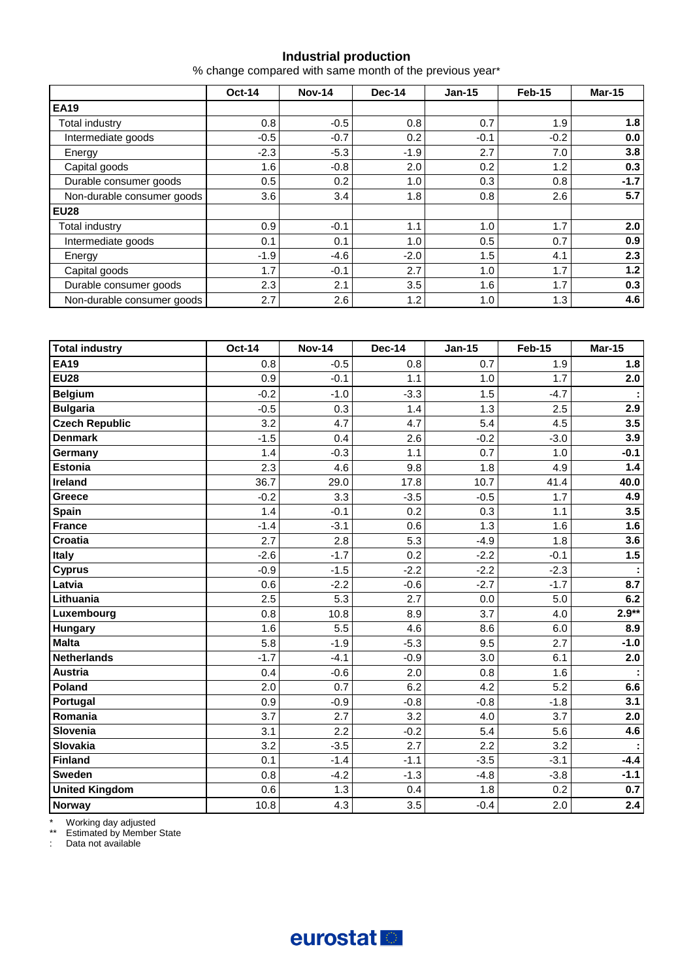#### **Industrial production**

% change compared with same month of the previous year\*

|                            | <b>Oct-14</b> | <b>Nov-14</b> | <b>Dec-14</b> | $Jan-15$ | Feb-15 | <b>Mar-15</b> |  |
|----------------------------|---------------|---------------|---------------|----------|--------|---------------|--|
| <b>EA19</b>                |               |               |               |          |        |               |  |
| Total industry             | 0.8           | $-0.5$        | 0.8           | 0.7      | 1.9    | 1.8           |  |
| Intermediate goods         | $-0.5$        | $-0.7$        | 0.2           | $-0.1$   | $-0.2$ | 0.0           |  |
| Energy                     | $-2.3$        | $-5.3$        | $-1.9$        | 2.7      | 7.0    | 3.8           |  |
| Capital goods              | 1.6           | $-0.8$        | 2.0           | 0.2      | 1.2    | 0.3           |  |
| Durable consumer goods     | 0.5           | 0.2           | 1.0           | 0.3      | 0.8    | $-1.7$        |  |
| Non-durable consumer goods | 3.6           | 3.4           | 1.8           | 0.8      | 2.6    | 5.7           |  |
| <b>EU28</b>                |               |               |               |          |        |               |  |
| Total industry             | 0.9           | $-0.1$        | 1.1           | 1.0      | 1.7    | 2.0           |  |
| Intermediate goods         | 0.1           | 0.1           | 1.0           | 0.5      | 0.7    | 0.9           |  |
| Energy                     | $-1.9$        | $-4.6$        | $-2.0$        | 1.5      | 4.1    | 2.3           |  |
| Capital goods              | 1.7           | $-0.1$        | 2.7           | 1.0      | 1.7    | $1.2$         |  |
| Durable consumer goods     | 2.3           | 2.1           | 3.5           | 1.6      | 1.7    | 0.3           |  |
| Non-durable consumer goods | 2.7           | 2.6           | 1.2           | 1.0      | 1.3    | 4.6           |  |

| <b>Total industry</b> | <b>Oct-14</b> | <b>Nov-14</b> | <b>Dec-14</b> | <b>Jan-15</b> | <b>Feb-15</b> | <b>Mar-15</b> |
|-----------------------|---------------|---------------|---------------|---------------|---------------|---------------|
| <b>EA19</b>           | 0.8           | $-0.5$        | 0.8           | 0.7           | 1.9           | 1.8           |
| <b>EU28</b>           | 0.9           | $-0.1$        | 1.1           | 1.0           | 1.7           | 2.0           |
| <b>Belgium</b>        | $-0.2$        | $-1.0$        | $-3.3$        | 1.5           | $-4.7$        |               |
| <b>Bulgaria</b>       | $-0.5$        | 0.3           | 1.4           | 1.3           | 2.5           | 2.9           |
| <b>Czech Republic</b> | 3.2           | 4.7           | 4.7           | 5.4           | 4.5           | 3.5           |
| <b>Denmark</b>        | $-1.5$        | 0.4           | 2.6           | $-0.2$        | $-3.0$        | 3.9           |
| Germany               | 1.4           | $-0.3$        | 1.1           | 0.7           | 1.0           | $-0.1$        |
| <b>Estonia</b>        | 2.3           | 4.6           | 9.8           | 1.8           | 4.9           | 1.4           |
| Ireland               | 36.7          | 29.0          | 17.8          | 10.7          | 41.4          | 40.0          |
| Greece                | $-0.2$        | 3.3           | $-3.5$        | $-0.5$        | 1.7           | 4.9           |
| <b>Spain</b>          | 1.4           | $-0.1$        | 0.2           | 0.3           | 1.1           | 3.5           |
| <b>France</b>         | $-1.4$        | $-3.1$        | 0.6           | 1.3           | 1.6           | 1.6           |
| Croatia               | 2.7           | 2.8           | 5.3           | $-4.9$        | 1.8           | 3.6           |
| <b>Italy</b>          | $-2.6$        | $-1.7$        | 0.2           | $-2.2$        | $-0.1$        | 1.5           |
| <b>Cyprus</b>         | $-0.9$        | $-1.5$        | $-2.2$        | $-2.2$        | $-2.3$        |               |
| Latvia                | 0.6           | $-2.2$        | $-0.6$        | $-2.7$        | $-1.7$        | 8.7           |
| Lithuania             | 2.5           | 5.3           | 2.7           | 0.0           | 5.0           | 6.2           |
| Luxembourg            | 0.8           | 10.8          | 8.9           | 3.7           | 4.0           | $2.9**$       |
| Hungary               | 1.6           | 5.5           | 4.6           | 8.6           | 6.0           | 8.9           |
| <b>Malta</b>          | 5.8           | $-1.9$        | $-5.3$        | 9.5           | 2.7           | $-1.0$        |
| Netherlands           | $-1.7$        | $-4.1$        | $-0.9$        | 3.0           | 6.1           | 2.0           |
| <b>Austria</b>        | 0.4           | $-0.6$        | 2.0           | 0.8           | 1.6           |               |
| Poland                | 2.0           | 0.7           | 6.2           | 4.2           | 5.2           | 6.6           |
| Portugal              | 0.9           | $-0.9$        | $-0.8$        | $-0.8$        | $-1.8$        | 3.1           |
| Romania               | 3.7           | 2.7           | 3.2           | 4.0           | 3.7           | 2.0           |
| Slovenia              | 3.1           | 2.2           | $-0.2$        | 5.4           | 5.6           | 4.6           |
| Slovakia              | 3.2           | $-3.5$        | 2.7           | 2.2           | 3.2           |               |
| Finland               | 0.1           | $-1.4$        | $-1.1$        | $-3.5$        | $-3.1$        | $-4.4$        |
| <b>Sweden</b>         | 0.8           | $-4.2$        | $-1.3$        | $-4.8$        | $-3.8$        | $-1.1$        |
| <b>United Kingdom</b> | 0.6           | 1.3           | 0.4           | 1.8           | 0.2           | 0.7           |
| <b>Norway</b>         | 10.8          | 4.3           | 3.5           | $-0.4$        | 2.0           | $2.4\,$       |

\* Working day adjusted

\*\* Estimated by Member State

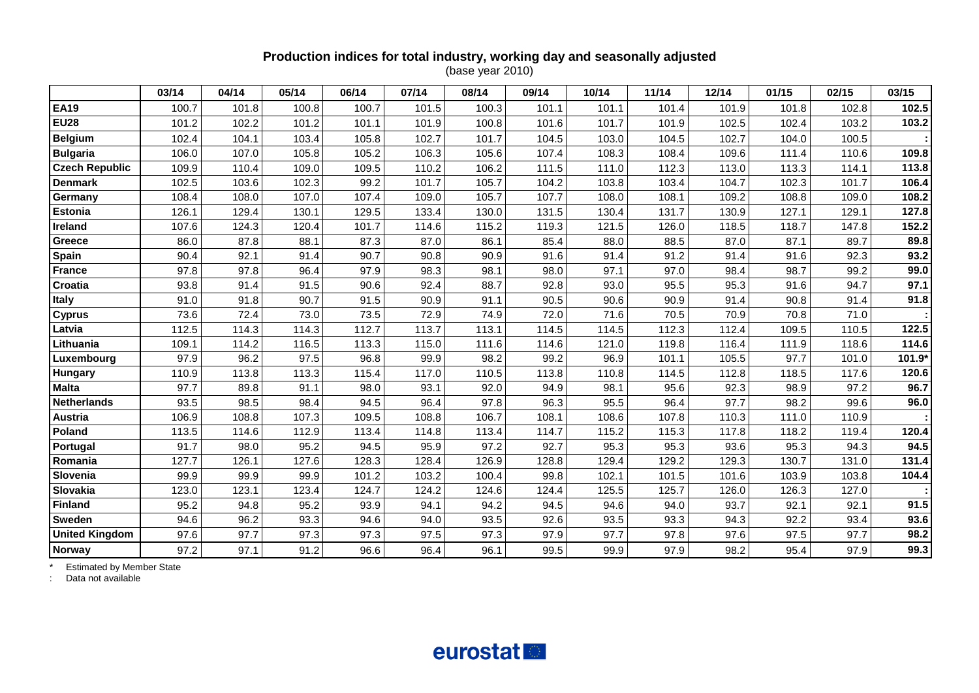### **Production indices for total industry, working day and seasonally adjusted**

(base year 2010)

|                       | 03/14 | 04/14 | 05/14 | 06/14 | 07/14 | 08/14 | 09/14 | 10/14 | 11/14 | 12/14 | 01/15 | 02/15 | 03/15  |
|-----------------------|-------|-------|-------|-------|-------|-------|-------|-------|-------|-------|-------|-------|--------|
| <b>EA19</b>           | 100.7 | 101.8 | 100.8 | 100.7 | 101.5 | 100.3 | 101.1 | 101.1 | 101.4 | 101.9 | 101.8 | 102.8 | 102.5  |
| <b>EU28</b>           | 101.2 | 102.2 | 101.2 | 101.1 | 101.9 | 100.8 | 101.6 | 101.7 | 101.9 | 102.5 | 102.4 | 103.2 | 103.2  |
| <b>Belgium</b>        | 102.4 | 104.1 | 103.4 | 105.8 | 102.7 | 101.7 | 104.5 | 103.0 | 104.5 | 102.7 | 104.0 | 100.5 |        |
| <b>Bulgaria</b>       | 106.0 | 107.0 | 105.8 | 105.2 | 106.3 | 105.6 | 107.4 | 108.3 | 108.4 | 109.6 | 111.4 | 110.6 | 109.8  |
| <b>Czech Republic</b> | 109.9 | 110.4 | 109.0 | 109.5 | 110.2 | 106.2 | 111.5 | 111.0 | 112.3 | 113.0 | 113.3 | 114.1 | 113.8  |
| <b>Denmark</b>        | 102.5 | 103.6 | 102.3 | 99.2  | 101.7 | 105.7 | 104.2 | 103.8 | 103.4 | 104.7 | 102.3 | 101.7 | 106.4  |
| Germany               | 108.4 | 108.0 | 107.0 | 107.4 | 109.0 | 105.7 | 107.7 | 108.0 | 108.1 | 109.2 | 108.8 | 109.0 | 108.2  |
| <b>Estonia</b>        | 126.1 | 129.4 | 130.1 | 129.5 | 133.4 | 130.0 | 131.5 | 130.4 | 131.7 | 130.9 | 127.1 | 129.1 | 127.8  |
| Ireland               | 107.6 | 124.3 | 120.4 | 101.7 | 114.6 | 115.2 | 119.3 | 121.5 | 126.0 | 118.5 | 118.7 | 147.8 | 152.2  |
| Greece                | 86.0  | 87.8  | 88.1  | 87.3  | 87.0  | 86.1  | 85.4  | 88.0  | 88.5  | 87.0  | 87.1  | 89.7  | 89.8   |
| <b>Spain</b>          | 90.4  | 92.1  | 91.4  | 90.7  | 90.8  | 90.9  | 91.6  | 91.4  | 91.2  | 91.4  | 91.6  | 92.3  | 93.2   |
| <b>France</b>         | 97.8  | 97.8  | 96.4  | 97.9  | 98.3  | 98.1  | 98.0  | 97.1  | 97.0  | 98.4  | 98.7  | 99.2  | 99.0   |
| Croatia               | 93.8  | 91.4  | 91.5  | 90.6  | 92.4  | 88.7  | 92.8  | 93.0  | 95.5  | 95.3  | 91.6  | 94.7  | 97.1   |
| <b>Italy</b>          | 91.0  | 91.8  | 90.7  | 91.5  | 90.9  | 91.1  | 90.5  | 90.6  | 90.9  | 91.4  | 90.8  | 91.4  | 91.8   |
| <b>Cyprus</b>         | 73.6  | 72.4  | 73.0  | 73.5  | 72.9  | 74.9  | 72.0  | 71.6  | 70.5  | 70.9  | 70.8  | 71.0  |        |
| Latvia                | 112.5 | 114.3 | 114.3 | 112.7 | 113.7 | 113.1 | 114.5 | 114.5 | 112.3 | 112.4 | 109.5 | 110.5 | 122.5  |
| Lithuania             | 109.1 | 114.2 | 116.5 | 113.3 | 115.0 | 111.6 | 114.6 | 121.0 | 119.8 | 116.4 | 111.9 | 118.6 | 114.6  |
| Luxembourg            | 97.9  | 96.2  | 97.5  | 96.8  | 99.9  | 98.2  | 99.2  | 96.9  | 101.1 | 105.5 | 97.7  | 101.0 | 101.9* |
| Hungary               | 110.9 | 113.8 | 113.3 | 115.4 | 117.0 | 110.5 | 113.8 | 110.8 | 114.5 | 112.8 | 118.5 | 117.6 | 120.6  |
| <b>Malta</b>          | 97.7  | 89.8  | 91.1  | 98.0  | 93.1  | 92.0  | 94.9  | 98.1  | 95.6  | 92.3  | 98.9  | 97.2  | 96.7   |
| <b>Netherlands</b>    | 93.5  | 98.5  | 98.4  | 94.5  | 96.4  | 97.8  | 96.3  | 95.5  | 96.4  | 97.7  | 98.2  | 99.6  | 96.0   |
| Austria               | 106.9 | 108.8 | 107.3 | 109.5 | 108.8 | 106.7 | 108.1 | 108.6 | 107.8 | 110.3 | 111.0 | 110.9 |        |
| Poland                | 113.5 | 114.6 | 112.9 | 113.4 | 114.8 | 113.4 | 114.7 | 115.2 | 115.3 | 117.8 | 118.2 | 119.4 | 120.4  |
| Portugal              | 91.7  | 98.0  | 95.2  | 94.5  | 95.9  | 97.2  | 92.7  | 95.3  | 95.3  | 93.6  | 95.3  | 94.3  | 94.5   |
| Romania               | 127.7 | 126.1 | 127.6 | 128.3 | 128.4 | 126.9 | 128.8 | 129.4 | 129.2 | 129.3 | 130.7 | 131.0 | 131.4  |
| Slovenia              | 99.9  | 99.9  | 99.9  | 101.2 | 103.2 | 100.4 | 99.8  | 102.1 | 101.5 | 101.6 | 103.9 | 103.8 | 104.4  |
| Slovakia              | 123.0 | 123.1 | 123.4 | 124.7 | 124.2 | 124.6 | 124.4 | 125.5 | 125.7 | 126.0 | 126.3 | 127.0 |        |
| <b>Finland</b>        | 95.2  | 94.8  | 95.2  | 93.9  | 94.1  | 94.2  | 94.5  | 94.6  | 94.0  | 93.7  | 92.1  | 92.1  | 91.5   |
| Sweden                | 94.6  | 96.2  | 93.3  | 94.6  | 94.0  | 93.5  | 92.6  | 93.5  | 93.3  | 94.3  | 92.2  | 93.4  | 93.6   |
| <b>United Kingdom</b> | 97.6  | 97.7  | 97.3  | 97.3  | 97.5  | 97.3  | 97.9  | 97.7  | 97.8  | 97.6  | 97.5  | 97.7  | 98.2   |
| <b>Norway</b>         | 97.2  | 97.1  | 91.2  | 96.6  | 96.4  | 96.1  | 99.5  | 99.9  | 97.9  | 98.2  | 95.4  | 97.9  | 99.3   |

\* Estimated by Member State